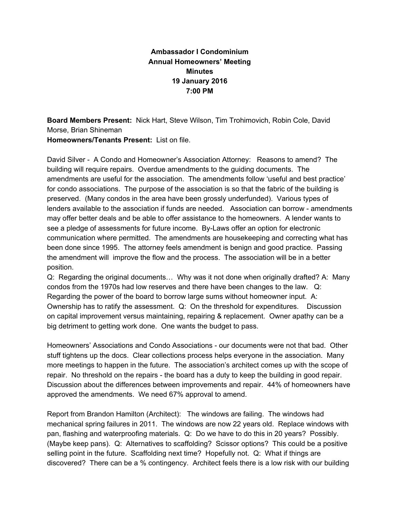## **Ambassador I Condominium Annual Homeowners' Meeting Minutes 19 January 2016 7:00 PM**

**Board Members Present:** Nick Hart, Steve Wilson, Tim Trohimovich, Robin Cole, David Morse, Brian Shineman

**Homeowners/Tenants Present:** List on file.

David Silver A Condo and Homeowner's Association Attorney: Reasons to amend? The building will require repairs. Overdue amendments to the guiding documents. The amendments are useful for the association. The amendments follow 'useful and best practice' for condo associations. The purpose of the association is so that the fabric of the building is preserved. (Many condos in the area have been grossly underfunded). Various types of lenders available to the association if funds are needed. Association can borrow - amendments may offer better deals and be able to offer assistance to the homeowners. A lender wants to see a pledge of assessments for future income. By-Laws offer an option for electronic communication where permitted. The amendments are housekeeping and correcting what has been done since 1995. The attorney feels amendment is benign and good practice. Passing the amendment will improve the flow and the process. The association will be in a better position.

Q: Regarding the original documents… Why was it not done when originally drafted? A: Many condos from the 1970s had low reserves and there have been changes to the law. Q: Regarding the power of the board to borrow large sums without homeowner input. A: Ownership has to ratify the assessment. Q: On the threshold for expenditures. Discussion on capital improvement versus maintaining, repairing & replacement. Owner apathy can be a big detriment to getting work done. One wants the budget to pass.

Homeowners' Associations and Condo Associations - our documents were not that bad. Other stuff tightens up the docs. Clear collections process helps everyone in the association. Many more meetings to happen in the future. The association's architect comes up with the scope of repair. No threshold on the repairs - the board has a duty to keep the building in good repair. Discussion about the differences between improvements and repair. 44% of homeowners have approved the amendments. We need 67% approval to amend.

Report from Brandon Hamilton (Architect): The windows are failing. The windows had mechanical spring failures in 2011. The windows are now 22 years old. Replace windows with pan, flashing and waterproofing materials. Q: Do we have to do this in 20 years? Possibly. (Maybe keep pans). Q: Alternatives to scaffolding? Scissor options? This could be a positive selling point in the future. Scaffolding next time? Hopefully not. Q: What if things are discovered? There can be a % contingency. Architect feels there is a low risk with our building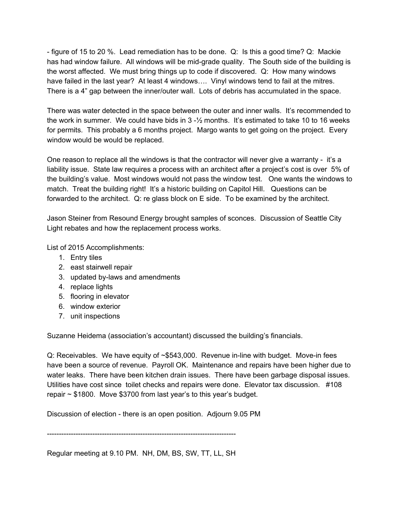figure of 15 to 20 %. Lead remediation has to be done. Q: Is this a good time? Q: Mackie has had window failure. All windows will be mid-grade quality. The South side of the building is the worst affected. We must bring things up to code if discovered. Q: How many windows have failed in the last year? At least 4 windows…. Vinyl windows tend to fail at the mitres. There is a 4" gap between the inner/outer wall. Lots of debris has accumulated in the space.

There was water detected in the space between the outer and inner walls. It's recommended to the work in summer. We could have bids in  $3 - \frac{1}{2}$  months. It's estimated to take 10 to 16 weeks for permits. This probably a 6 months project. Margo wants to get going on the project. Every window would be would be replaced.

One reason to replace all the windows is that the contractor will never give a warranty - it's a liability issue. State law requires a process with an architect after a project's cost is over 5% of the building's value. Most windows would not pass the window test. One wants the windows to match. Treat the building right! It's a historic building on Capitol Hill. Questions can be forwarded to the architect. Q: re glass block on E side. To be examined by the architect.

Jason Steiner from Resound Energy brought samples of sconces. Discussion of Seattle City Light rebates and how the replacement process works.

List of 2015 Accomplishments:

- 1. Entry tiles
- 2. east stairwell repair
- 3. updated by-laws and amendments
- 4. replace lights
- 5. flooring in elevator
- 6. window exterior
- 7. unit inspections

Suzanne Heidema (association's accountant) discussed the building's financials.

Q: Receivables. We have equity of ~\$543,000. Revenue in-line with budget. Move-in fees have been a source of revenue. Payroll OK. Maintenance and repairs have been higher due to water leaks. There have been kitchen drain issues. There have been garbage disposal issues. Utilities have cost since toilet checks and repairs were done. Elevator tax discussion. #108 repair ~ \$1800. Move \$3700 from last year's to this year's budget.

Discussion of election - there is an open position. Adjourn 9.05 PM

Regular meeting at 9.10 PM. NH, DM, BS, SW, TT, LL, SH